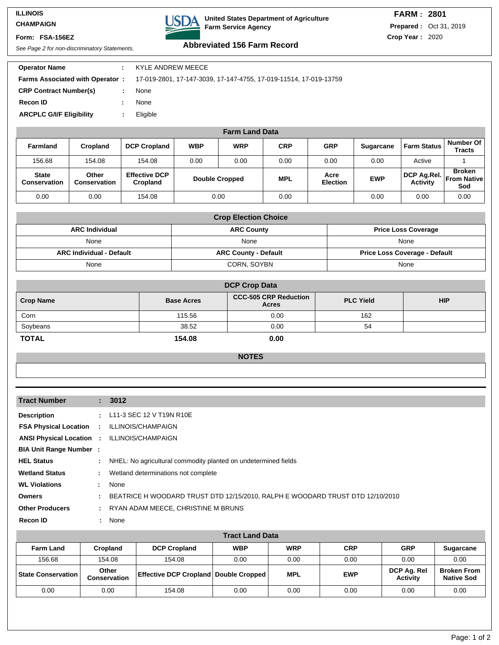### **ILLINOIS CHAMPAIGN**

**Form: FSA-156EZ**



# **FARM : 2801 Prepared :** Oct 31, 2019

**Crop Year :** 2020

# See Page 2 for non-discriminatory Statements. **Abbreviated 156 Farm Record**

| <b>Operator Name</b>            | ÷ | KYLE ANDREW MEECE                                                                                        |
|---------------------------------|---|----------------------------------------------------------------------------------------------------------|
|                                 |   | <b>Farms Associated with Operator: 17-019-2801, 17-147-3039, 17-147-4755, 17-019-11514, 17-019-13759</b> |
| <b>CRP Contract Number(s)</b>   |   | None                                                                                                     |
| <b>Recon ID</b>                 | ٠ | None                                                                                                     |
| <b>ARCPLC G/I/F Eligibility</b> | ÷ | Eligible                                                                                                 |
|                                 |   |                                                                                                          |

| <b>Farm Land Data</b>               |                              |                                  |                       |            |            |                         |                  |                                            |                              |
|-------------------------------------|------------------------------|----------------------------------|-----------------------|------------|------------|-------------------------|------------------|--------------------------------------------|------------------------------|
| <b>Farmland</b>                     | Cropland                     | <b>DCP Cropland</b>              | <b>WBP</b>            | <b>WRP</b> | <b>CRP</b> | <b>GRP</b>              | <b>Sugarcane</b> | <b>Farm Status</b>                         | Number Of i<br><b>Tracts</b> |
| 156.68                              | 154.08                       | 154.08                           | 0.00                  | 0.00       | 0.00       | 0.00                    | 0.00             | Active                                     |                              |
| <b>State</b><br><b>Conservation</b> | Other<br><b>Conservation</b> | <b>Effective DCP</b><br>Cropland | <b>Double Cropped</b> |            | <b>MPL</b> | Acre<br><b>Election</b> | <b>EWP</b>       | DCP Ag.Rel. From Native<br><b>Activity</b> | <b>Broken</b><br>Sod         |
| 0.00                                | 0.00                         | 154.08                           |                       | 0.00       | 0.00       |                         | 0.00             | 0.00                                       | 0.00                         |

| <b>Crop Election Choice</b>     |                             |                                      |  |  |  |  |
|---------------------------------|-----------------------------|--------------------------------------|--|--|--|--|
| <b>ARC Individual</b>           | <b>ARC County</b>           | <b>Price Loss Coverage</b>           |  |  |  |  |
| None                            | None                        | None                                 |  |  |  |  |
| <b>ARC Individual - Default</b> | <b>ARC County - Default</b> | <b>Price Loss Coverage - Default</b> |  |  |  |  |
| None                            | CORN, SOYBN                 | None                                 |  |  |  |  |

| <b>DCP Crop Data</b> |                   |                                              |                  |            |  |  |
|----------------------|-------------------|----------------------------------------------|------------------|------------|--|--|
| <b>Crop Name</b>     | <b>Base Acres</b> | <b>CCC-505 CRP Reduction</b><br><b>Acres</b> | <b>PLC Yield</b> | <b>HIP</b> |  |  |
| Corn                 | 115.56            | 0.00                                         | 162              |            |  |  |
| Soybeans             | 38.52             | 0.00                                         | 54               |            |  |  |
| <b>TOTAL</b>         | 154.08            | 0.00                                         |                  |            |  |  |

#### **NOTES**

| <b>Tract Number</b>                                |               | : 3012                                                                        |
|----------------------------------------------------|---------------|-------------------------------------------------------------------------------|
| <b>Description</b>                                 | $\mathcal{L}$ | L11-3 SEC 12 V T19N R10E                                                      |
| <b>FSA Physical Location : ILLINOIS/CHAMPAIGN</b>  |               |                                                                               |
| <b>ANSI Physical Location : ILLINOIS/CHAMPAIGN</b> |               |                                                                               |
| <b>BIA Unit Range Number:</b>                      |               |                                                                               |
| <b>HEL Status</b>                                  | ÷.            | NHEL: No agricultural commodity planted on undetermined fields                |
| <b>Wetland Status</b>                              | ÷             | Wetland determinations not complete                                           |
| <b>WL Violations</b>                               | ÷.            | None                                                                          |
| <b>Owners</b>                                      | ÷             | BEATRICE H WOODARD TRUST DTD 12/15/2010, RALPH E WOODARD TRUST DTD 12/10/2010 |
| <b>Other Producers</b>                             | ÷             | RYAN ADAM MEECE, CHRISTINE M BRUNS                                            |
| <b>Recon ID</b>                                    |               | : None                                                                        |

| <b>Tract Land Data</b>      |                              |                                                  |            |            |            |                                |                                         |
|-----------------------------|------------------------------|--------------------------------------------------|------------|------------|------------|--------------------------------|-----------------------------------------|
| <b>Farm Land</b>            | <b>Cropland</b>              | <b>DCP Cropland</b>                              | <b>WBP</b> | <b>WRP</b> | <b>CRP</b> | <b>GRP</b>                     | <b>Sugarcane</b>                        |
| 156.68                      | 154.08                       | 154.08                                           | 0.00       | 0.00       | 0.00       | 0.00                           | 0.00                                    |
| <b>State Conservation  </b> | Other<br><b>Conservation</b> | <b>Effective DCP Cropland   Double Cropped  </b> |            | <b>MPL</b> | <b>EWP</b> | DCP Ag. Rel<br><b>Activity</b> | <b>Broken From</b><br><b>Native Sod</b> |
| 0.00                        | 0.00                         | 154.08                                           | 0.00       | 0.00       | 0.00       | 0.00                           | 0.00                                    |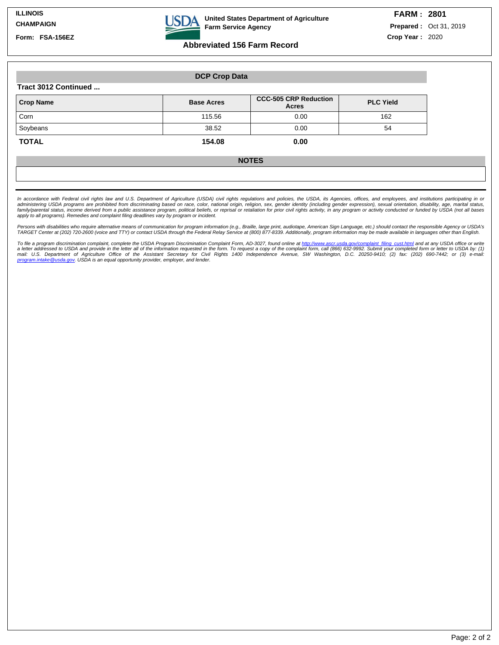**Form: FSA-156EZ**



**United States Department of Agriculture Farm Service Agency**

## **Abbreviated 156 Farm Record**

**Prepared :** Oct 31, 2019 **Crop Year :** 2020

|                                | <b>DCP Crop Data</b> |                                       |                  |  |  |  |  |
|--------------------------------|----------------------|---------------------------------------|------------------|--|--|--|--|
| Tract 3012 Continued           |                      |                                       |                  |  |  |  |  |
| <b>Crop Name</b>               | <b>Base Acres</b>    | <b>CCC-505 CRP Reduction</b><br>Acres | <b>PLC Yield</b> |  |  |  |  |
| Corn                           | 115.56               | 0.00                                  | 162              |  |  |  |  |
| Soybeans                       | 38.52                | 0.00                                  | 54               |  |  |  |  |
| <b>TOTAL</b><br>154.08<br>0.00 |                      |                                       |                  |  |  |  |  |
|                                |                      | <b>NOTES</b>                          |                  |  |  |  |  |

In accordance with Federal civil rights law and U.S. Department of Agriculture (USDA) civil rights regulations and policies, the USDA, its Agencies, offices, and employees, and institutions participating in or administering USDA programs are prohibited from discriminating based on race, color, national origin, religion, sex, gender identity (including gender expression), sexual orientation, disability, age, marital status,<br>famil

.<br>Persons with disabilities who require alternative means of communication for program information (e.g., Braille, large print, audiotape, American Sign Language, etc.) should contact the responsible Agency or USDA's<br>TARGE

To file a program discrimination complaint, complete the USDA Program Discrimination Complaint Form, AD-3027, found online at <u>http://www.ascr.usda.gov/complaint filing\_cust.html</u> and at any USDA office or write<br>a letter a mail: U.S. Department of Agriculture Office of the Assistant Secretary for Civil Rights 1400 Independence Avenue, SW Washington, D.C. 20250-9410; (2) fax: (202) 690-7442; or (3) e-mail:<br><u>program.intake@usda.gov</u>.USDA.is.an